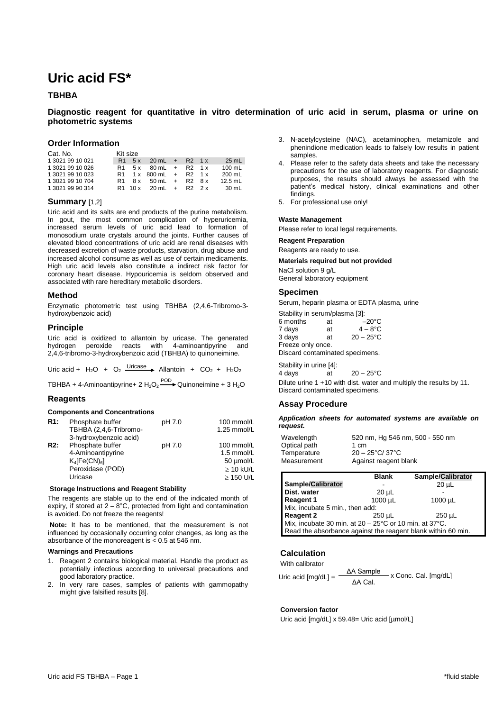# **Uric acid FS\***

# **TBHBA**

# **Diagnostic reagent for quantitative in vitro determination of uric acid in serum, plasma or urine on photometric systems**

# **Order Information**

| Cat. No.         |                | Kit size |                          |  |                  |
|------------------|----------------|----------|--------------------------|--|------------------|
| 1 3021 99 10 021 |                | R1 5 x   | $20 \text{ mL} + R2 1x$  |  | $25 \text{ mL}$  |
| 1 3021 99 10 026 | R1.            |          | $5x$ 80 mL + R2 1 x      |  | $100 \text{ mL}$ |
| 1 3021 99 10 023 | R <sub>1</sub> |          | $1x$ 800 mL + R2 1 x     |  | 200 mL           |
| 1 3021 99 10 704 | R1.            |          | 8x 50 mL + R2 8x         |  | $12.5$ mL        |
| 1 3021 99 90 314 |                |          | $R1$ 10 x 20 mL + R2 2 x |  | 30 mL            |

# **Summary** [1,2]

Uric acid and its salts are end products of the purine metabolism. In gout, the most common complication of hyperuricemia, increased serum levels of uric acid lead to formation of monosodium urate crystals around the joints. Further causes of elevated blood concentrations of uric acid are renal diseases with decreased excretion of waste products, starvation, drug abuse and increased alcohol consume as well as use of certain medicaments. High uric acid levels also constitute a indirect risk factor for coronary heart disease. Hypouricemia is seldom observed and associated with rare hereditary metabolic disorders.

## **Method**

Enzymatic photometric test using TBHBA (2,4,6-Tribromo-3 hydroxybenzoic acid)

## **Principle**

Uric acid is oxidized to allantoin by uricase. The generated hydrogen peroxide reacts with 4-aminoantipyrine and 2,4,6-tribromo-3-hydroxybenzoic acid (TBHBA) to quinoneimine.

Uric acid +  $H_2O + O_2$  Uricase Allantoin +  $CO_2$  +  $H_2O_2$ 

TBHBA + 4-Aminoantipyrine+ 2  $H_2O_2 \xrightarrow{POD}$  Quinoneimine + 3  $H_2O$ 

## **Reagents**

#### **Components and Concentrations**

| R1: | Phosphate buffer<br>TBHBA (2,4,6-Tribromo-<br>3-hydroxybenzoic acid)                      | pH 7.0 | 100 mmol/L<br>1.25 mmol/L                               |
|-----|-------------------------------------------------------------------------------------------|--------|---------------------------------------------------------|
| R2: | Phosphate buffer<br>4-Aminoantipyrine<br>$K_4$ [Fe(CN) <sub>6</sub> ]<br>Peroxidase (POD) | pH 7.0 | 100 mmol/L<br>1.5 mmol/L<br>50 µmol/L<br>$\geq$ 10 kU/L |
|     | Uricase                                                                                   |        | $\geq$ 150 U/L                                          |

#### **Storage Instructions and Reagent Stability**

The reagents are stable up to the end of the indicated month of expiry, if stored at  $2 - 8$ °C, protected from light and contamination is avoided. Do not freeze the reagents!

**Note:** It has to be mentioned, that the measurement is not influenced by occasionally occurring color changes, as long as the absorbance of the monoreagent is < 0.5 at 546 nm.

#### **Warnings and Precautions**

- 1. Reagent 2 contains biological material. Handle the product as potentially infectious according to universal precautions and good laboratory practice.
- 2. In very rare cases, samples of patients with gammopathy might give falsified results [8].
- 3. N-acetylcysteine (NAC), acetaminophen, metamizole and phenindione medication leads to falsely low results in patient samples
- 4. Please refer to the safety data sheets and take the necessary precautions for the use of laboratory reagents. For diagnostic purposes, the results should always be assessed with the patient's medical history, clinical examinations and other findings.
- 5. For professional use only!

#### **Waste Management**

Please refer to local legal requirements.

#### **Reagent Preparation**

Reagents are ready to use.

**Materials required but not provided**

NaCl solution 9 g/L General laboratory equipment

## **Specimen**

Serum, heparin plasma or EDTA plasma, urine

Stability in serum/plasma [3]:

| 6 months                        | at | $-20^{\circ}$ C     |  |  |  |
|---------------------------------|----|---------------------|--|--|--|
| 7 days                          | at | $4-8$ °C            |  |  |  |
| 3 days                          | аt | $20 - 25^{\circ}$ C |  |  |  |
| Freeze only once.               |    |                     |  |  |  |
| Discard contaminated specimens. |    |                     |  |  |  |

Stability in urine [4]: 4 days at  $20 - 25$ °C Dilute urine 1 +10 with dist. water and multiply the results by 11. Discard contaminated specimens.

## **Assay Procedure**

*Application sheets for automated systems are available on request.*

| Wavelength   | 520 nm, Hg 546 nm, 500 - 550 nm |
|--------------|---------------------------------|
| Optical path | 1 cm                            |
| Temperature  | $20 - 25$ °C/37°C               |
| Measurement  | Against reagent blank           |

|                                                              | <b>Blank</b> | <b>Sample/Calibrator</b> |  |  |
|--------------------------------------------------------------|--------------|--------------------------|--|--|
| Sample/Calibrator                                            |              | $20 \mu L$               |  |  |
| Dist. water                                                  | $20 \mu L$   |                          |  |  |
| <b>Reagent 1</b>                                             | 1000 µL      | $1000 \mu L$             |  |  |
| Mix, incubate 5 min., then add:                              |              |                          |  |  |
| <b>Reagent 2</b>                                             | 250 uL       | $250 \mu L$              |  |  |
| Mix, incubate 30 min. at 20 - 25°C or 10 min. at 37°C.       |              |                          |  |  |
| Read the absorbance against the reagent blank within 60 min. |              |                          |  |  |

# **Calculation**

With calibrator

|                       | $\Delta A$ Sample | x Conc. Cal. [mg/dL] |
|-----------------------|-------------------|----------------------|
| Uric acid $[mg/dL] =$ | ΔA Cal.           |                      |

## **Conversion factor**

Uric acid [mg/dL] x 59.48= Uric acid [µmol/L]